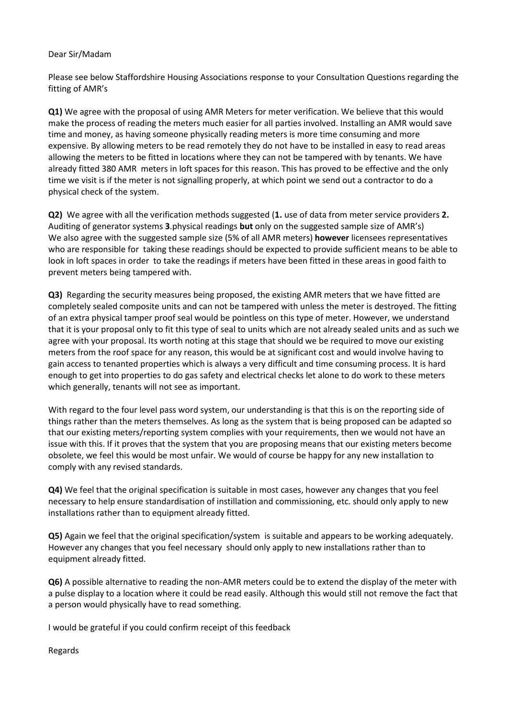## Dear Sir/Madam

Please see below Staffordshire Housing Associations response to your Consultation Questions regarding the fitting of AMR's

**Q1)** We agree with the proposal of using AMR Meters for meter verification. We believe that this would make the process of reading the meters much easier for all parties involved. Installing an AMR would save time and money, as having someone physically reading meters is more time consuming and more expensive. By allowing meters to be read remotely they do not have to be installed in easy to read areas allowing the meters to be fitted in locations where they can not be tampered with by tenants. We have already fitted 380 AMR meters in loft spaces for this reason. This has proved to be effective and the only time we visit is if the meter is not signalling properly, at which point we send out a contractor to do a physical check of the system.

**Q2)** We agree with all the verification methods suggested (**1.** use of data from meter service providers **2.** Auditing of generator systems **3**.physical readings **but** only on the suggested sample size of AMR's) We also agree with the suggested sample size (5% of all AMR meters) **however** licensees representatives who are responsible for taking these readings should be expected to provide sufficient means to be able to look in loft spaces in order to take the readings if meters have been fitted in these areas in good faith to prevent meters being tampered with.

**Q3)** Regarding the security measures being proposed, the existing AMR meters that we have fitted are completely sealed composite units and can not be tampered with unless the meter is destroyed. The fitting of an extra physical tamper proof seal would be pointless on this type of meter. However, we understand that it is your proposal only to fit this type of seal to units which are not already sealed units and as such we agree with your proposal. Its worth noting at this stage that should we be required to move our existing meters from the roof space for any reason, this would be at significant cost and would involve having to gain access to tenanted properties which is always a very difficult and time consuming process. It is hard enough to get into properties to do gas safety and electrical checks let alone to do work to these meters which generally, tenants will not see as important.

With regard to the four level pass word system, our understanding is that this is on the reporting side of things rather than the meters themselves. As long as the system that is being proposed can be adapted so that our existing meters/reporting system complies with your requirements, then we would not have an issue with this. If it proves that the system that you are proposing means that our existing meters become obsolete, we feel this would be most unfair. We would of course be happy for any new installation to comply with any revised standards.

**Q4)** We feel that the original specification is suitable in most cases, however any changes that you feel necessary to help ensure standardisation of instillation and commissioning, etc. should only apply to new installations rather than to equipment already fitted.

**Q5)** Again we feel that the original specification/system is suitable and appears to be working adequately. However any changes that you feel necessary should only apply to new installations rather than to equipment already fitted.

**Q6)** A possible alternative to reading the non-AMR meters could be to extend the display of the meter with a pulse display to a location where it could be read easily. Although this would still not remove the fact that a person would physically have to read something.

I would be grateful if you could confirm receipt of this feedback

Regards